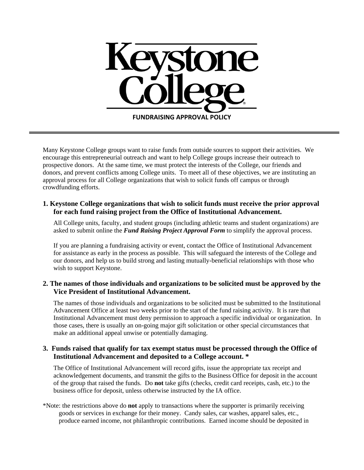

Many Keystone College groups want to raise funds from outside sources to support their activities. We encourage this entrepreneurial outreach and want to help College groups increase their outreach to prospective donors. At the same time, we must protect the interests of the College, our friends and donors, and prevent conflicts among College units. To meet all of these objectives, we are instituting an approval process for all College organizations that wish to solicit funds off campus or through crowdfunding efforts.

## **1. Keystone College organizations that wish to solicit funds must receive the prior approval for each fund raising project from the Office of Institutional Advancement.**

All College units, faculty, and student groups (including athletic teams and student organizations) are asked to submit online the *Fund Raising Project Approval Form* to simplify the approval process.

If you are planning a fundraising activity or event, contact the Office of Institutional Advancement for assistance as early in the process as possible. This will safeguard the interests of the College and our donors, and help us to build strong and lasting mutually-beneficial relationships with those who wish to support Keystone.

## **2. The names of those individuals and organizations to be solicited must be approved by the Vice President of Institutional Advancement.**

The names of those individuals and organizations to be solicited must be submitted to the Institutional Advancement Office at least two weeks prior to the start of the fund raising activity. It is rare that Institutional Advancement must deny permission to approach a specific individual or organization. In those cases, there is usually an on-going major gift solicitation or other special circumstances that make an additional appeal unwise or potentially damaging.

## **3. Funds raised that qualify for tax exempt status must be processed through the Office of Institutional Advancement and deposited to a College account. \***

The Office of Institutional Advancement will record gifts, issue the appropriate tax receipt and acknowledgement documents, and transmit the gifts to the Business Office for deposit in the account of the group that raised the funds. Do **not** take gifts (checks, credit card receipts, cash, etc.) to the business office for deposit, unless otherwise instructed by the IA office.

\*Note: the restrictions above do **not** apply to transactions where the supporter is primarily receiving goods or services in exchange for their money. Candy sales, car washes, apparel sales, etc., produce earned income, not philanthropic contributions. Earned income should be deposited in